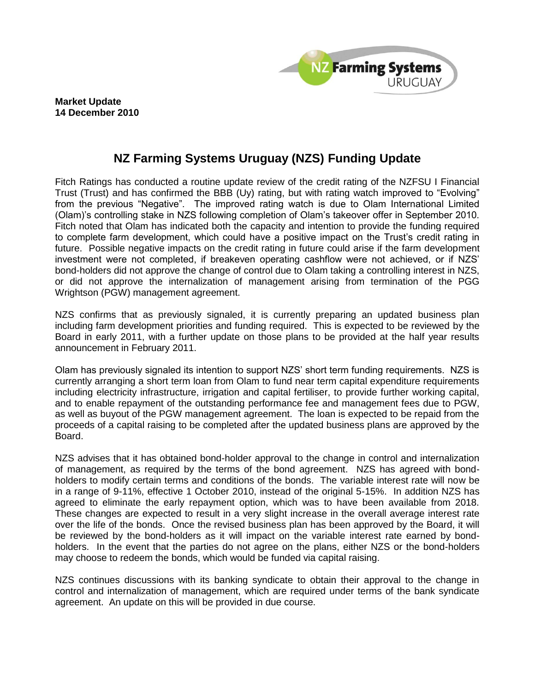

**Market Update 14 December 2010**

## **NZ Farming Systems Uruguay (NZS) Funding Update**

Fitch Ratings has conducted a routine update review of the credit rating of the NZFSU I Financial Trust (Trust) and has confirmed the BBB (Uy) rating, but with rating watch improved to "Evolving" from the previous "Negative". The improved rating watch is due to Olam International Limited (Olam)'s controlling stake in NZS following completion of Olam's takeover offer in September 2010. Fitch noted that Olam has indicated both the capacity and intention to provide the funding required to complete farm development, which could have a positive impact on the Trust's credit rating in future. Possible negative impacts on the credit rating in future could arise if the farm development investment were not completed, if breakeven operating cashflow were not achieved, or if NZS' bond-holders did not approve the change of control due to Olam taking a controlling interest in NZS, or did not approve the internalization of management arising from termination of the PGG Wrightson (PGW) management agreement.

NZS confirms that as previously signaled, it is currently preparing an updated business plan including farm development priorities and funding required. This is expected to be reviewed by the Board in early 2011, with a further update on those plans to be provided at the half year results announcement in February 2011.

Olam has previously signaled its intention to support NZS' short term funding requirements. NZS is currently arranging a short term loan from Olam to fund near term capital expenditure requirements including electricity infrastructure, irrigation and capital fertiliser, to provide further working capital, and to enable repayment of the outstanding performance fee and management fees due to PGW, as well as buyout of the PGW management agreement. The loan is expected to be repaid from the proceeds of a capital raising to be completed after the updated business plans are approved by the Board.

NZS advises that it has obtained bond-holder approval to the change in control and internalization of management, as required by the terms of the bond agreement. NZS has agreed with bondholders to modify certain terms and conditions of the bonds. The variable interest rate will now be in a range of 9-11%, effective 1 October 2010, instead of the original 5-15%. In addition NZS has agreed to eliminate the early repayment option, which was to have been available from 2018. These changes are expected to result in a very slight increase in the overall average interest rate over the life of the bonds. Once the revised business plan has been approved by the Board, it will be reviewed by the bond-holders as it will impact on the variable interest rate earned by bondholders. In the event that the parties do not agree on the plans, either NZS or the bond-holders may choose to redeem the bonds, which would be funded via capital raising.

NZS continues discussions with its banking syndicate to obtain their approval to the change in control and internalization of management, which are required under terms of the bank syndicate agreement. An update on this will be provided in due course.